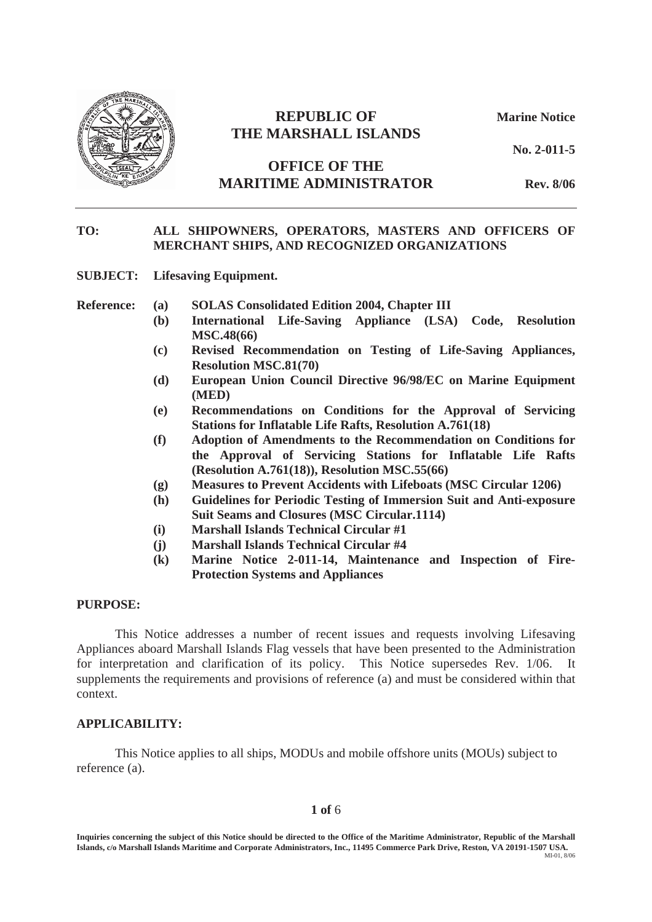

# **REPUBLIC OF Marine Notice THE MARSHALL ISLANDS**

**No. 2-011-5**

## **OFFICE OF THE MARITIME ADMINISTRATOR Rev. 8/06**

#### **TO: ALL SHIPOWNERS, OPERATORS, MASTERS AND OFFICERS OF MERCHANT SHIPS, AND RECOGNIZED ORGANIZATIONS**

**SUBJECT: Lifesaving Equipment.** 

- **Reference: (a) SOLAS Consolidated Edition 2004, Chapter III** 
	- **(b) International Life-Saving Appliance (LSA) Code, Resolution MSC.48(66)**
	- **(c) Revised Recommendation on Testing of Life-Saving Appliances, Resolution MSC.81(70)**
	- **(d) European Union Council Directive 96/98/EC on Marine Equipment (MED)**
	- **(e) Recommendations on Conditions for the Approval of Servicing Stations for Inflatable Life Rafts, Resolution A.761(18)**
	- **(f) Adoption of Amendments to the Recommendation on Conditions for the Approval of Servicing Stations for Inflatable Life Rafts (Resolution A.761(18)), Resolution MSC.55(66)**
	- **(g) Measures to Prevent Accidents with Lifeboats (MSC Circular 1206)**
	- **(h) Guidelines for Periodic Testing of Immersion Suit and Anti-exposure Suit Seams and Closures (MSC Circular.1114)**
	- **(i) Marshall Islands Technical Circular #1**
	- **(j) Marshall Islands Technical Circular #4**
	- **(k) Marine Notice 2-011-14, Maintenance and Inspection of Fire-Protection Systems and Appliances**

#### **PURPOSE:**

This Notice addresses a number of recent issues and requests involving Lifesaving Appliances aboard Marshall Islands Flag vessels that have been presented to the Administration for interpretation and clarification of its policy. This Notice supersedes Rev. 1/06. It supplements the requirements and provisions of reference (a) and must be considered within that context.

#### **APPLICABILITY:**

This Notice applies to all ships, MODUs and mobile offshore units (MOUs) subject to reference (a).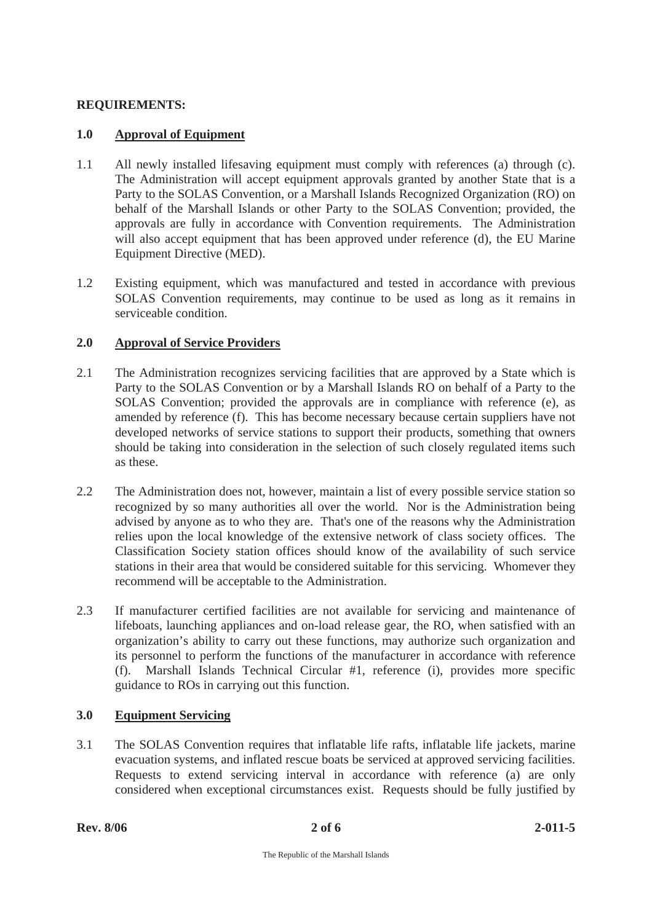### **REQUIREMENTS:**

### **1.0 Approval of Equipment**

- 1.1 All newly installed lifesaving equipment must comply with references (a) through (c). The Administration will accept equipment approvals granted by another State that is a Party to the SOLAS Convention, or a Marshall Islands Recognized Organization (RO) on behalf of the Marshall Islands or other Party to the SOLAS Convention; provided, the approvals are fully in accordance with Convention requirements. The Administration will also accept equipment that has been approved under reference (d), the EU Marine Equipment Directive (MED).
- 1.2 Existing equipment, which was manufactured and tested in accordance with previous SOLAS Convention requirements, may continue to be used as long as it remains in serviceable condition.

## **2.0 Approval of Service Providers**

- 2.1 The Administration recognizes servicing facilities that are approved by a State which is Party to the SOLAS Convention or by a Marshall Islands RO on behalf of a Party to the SOLAS Convention; provided the approvals are in compliance with reference (e), as amended by reference (f). This has become necessary because certain suppliers have not developed networks of service stations to support their products, something that owners should be taking into consideration in the selection of such closely regulated items such as these.
- 2.2 The Administration does not, however, maintain a list of every possible service station so recognized by so many authorities all over the world. Nor is the Administration being advised by anyone as to who they are. That's one of the reasons why the Administration relies upon the local knowledge of the extensive network of class society offices. The Classification Society station offices should know of the availability of such service stations in their area that would be considered suitable for this servicing. Whomever they recommend will be acceptable to the Administration.
- 2.3 If manufacturer certified facilities are not available for servicing and maintenance of lifeboats, launching appliances and on-load release gear, the RO, when satisfied with an organization's ability to carry out these functions, may authorize such organization and its personnel to perform the functions of the manufacturer in accordance with reference (f). Marshall Islands Technical Circular #1, reference (i), provides more specific guidance to ROs in carrying out this function.

## **3.0 Equipment Servicing**

3.1 The SOLAS Convention requires that inflatable life rafts, inflatable life jackets, marine evacuation systems, and inflated rescue boats be serviced at approved servicing facilities. Requests to extend servicing interval in accordance with reference (a) are only considered when exceptional circumstances exist. Requests should be fully justified by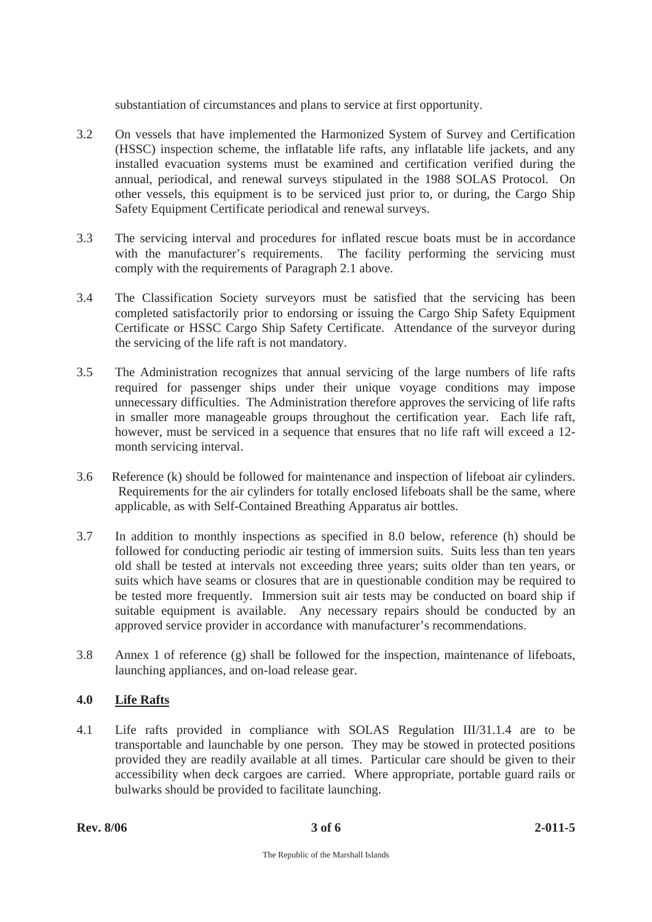substantiation of circumstances and plans to service at first opportunity.

- 3.2 On vessels that have implemented the Harmonized System of Survey and Certification (HSSC) inspection scheme, the inflatable life rafts, any inflatable life jackets, and any installed evacuation systems must be examined and certification verified during the annual, periodical, and renewal surveys stipulated in the 1988 SOLAS Protocol. On other vessels, this equipment is to be serviced just prior to, or during, the Cargo Ship Safety Equipment Certificate periodical and renewal surveys.
- 3.3 The servicing interval and procedures for inflated rescue boats must be in accordance with the manufacturer's requirements. The facility performing the servicing must comply with the requirements of Paragraph 2.1 above.
- 3.4 The Classification Society surveyors must be satisfied that the servicing has been completed satisfactorily prior to endorsing or issuing the Cargo Ship Safety Equipment Certificate or HSSC Cargo Ship Safety Certificate. Attendance of the surveyor during the servicing of the life raft is not mandatory.
- 3.5 The Administration recognizes that annual servicing of the large numbers of life rafts required for passenger ships under their unique voyage conditions may impose unnecessary difficulties. The Administration therefore approves the servicing of life rafts in smaller more manageable groups throughout the certification year. Each life raft, however, must be serviced in a sequence that ensures that no life raft will exceed a 12 month servicing interval.
- 3.6 Reference (k) should be followed for maintenance and inspection of lifeboat air cylinders. Requirements for the air cylinders for totally enclosed lifeboats shall be the same, where applicable, as with Self-Contained Breathing Apparatus air bottles.
- 3.7 In addition to monthly inspections as specified in 8.0 below, reference (h) should be followed for conducting periodic air testing of immersion suits. Suits less than ten years old shall be tested at intervals not exceeding three years; suits older than ten years, or suits which have seams or closures that are in questionable condition may be required to be tested more frequently. Immersion suit air tests may be conducted on board ship if suitable equipment is available. Any necessary repairs should be conducted by an approved service provider in accordance with manufacturer's recommendations.
- 3.8 Annex 1 of reference (g) shall be followed for the inspection, maintenance of lifeboats, launching appliances, and on-load release gear.

## **4.0 Life Rafts**

4.1 Life rafts provided in compliance with SOLAS Regulation III/31.1.4 are to be transportable and launchable by one person. They may be stowed in protected positions provided they are readily available at all times. Particular care should be given to their accessibility when deck cargoes are carried. Where appropriate, portable guard rails or bulwarks should be provided to facilitate launching.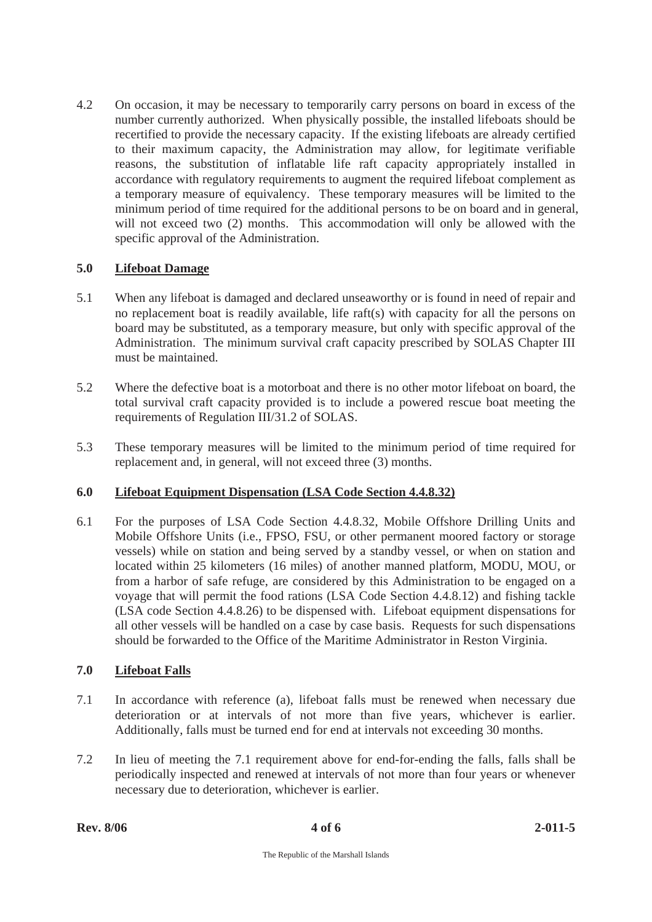4.2 On occasion, it may be necessary to temporarily carry persons on board in excess of the number currently authorized. When physically possible, the installed lifeboats should be recertified to provide the necessary capacity. If the existing lifeboats are already certified to their maximum capacity, the Administration may allow, for legitimate verifiable reasons, the substitution of inflatable life raft capacity appropriately installed in accordance with regulatory requirements to augment the required lifeboat complement as a temporary measure of equivalency. These temporary measures will be limited to the minimum period of time required for the additional persons to be on board and in general, will not exceed two (2) months. This accommodation will only be allowed with the specific approval of the Administration.

### **5.0 Lifeboat Damage**

- 5.1 When any lifeboat is damaged and declared unseaworthy or is found in need of repair and no replacement boat is readily available, life raft(s) with capacity for all the persons on board may be substituted, as a temporary measure, but only with specific approval of the Administration. The minimum survival craft capacity prescribed by SOLAS Chapter III must be maintained.
- 5.2 Where the defective boat is a motorboat and there is no other motor lifeboat on board, the total survival craft capacity provided is to include a powered rescue boat meeting the requirements of Regulation III/31.2 of SOLAS.
- 5.3 These temporary measures will be limited to the minimum period of time required for replacement and, in general, will not exceed three (3) months.

## **6.0 Lifeboat Equipment Dispensation (LSA Code Section 4.4.8.32)**

6.1 For the purposes of LSA Code Section 4.4.8.32, Mobile Offshore Drilling Units and Mobile Offshore Units (i.e., FPSO, FSU, or other permanent moored factory or storage vessels) while on station and being served by a standby vessel, or when on station and located within 25 kilometers (16 miles) of another manned platform, MODU, MOU, or from a harbor of safe refuge, are considered by this Administration to be engaged on a voyage that will permit the food rations (LSA Code Section 4.4.8.12) and fishing tackle (LSA code Section 4.4.8.26) to be dispensed with. Lifeboat equipment dispensations for all other vessels will be handled on a case by case basis. Requests for such dispensations should be forwarded to the Office of the Maritime Administrator in Reston Virginia.

#### **7.0 Lifeboat Falls**

- 7.1 In accordance with reference (a), lifeboat falls must be renewed when necessary due deterioration or at intervals of not more than five years, whichever is earlier. Additionally, falls must be turned end for end at intervals not exceeding 30 months.
- 7.2 In lieu of meeting the 7.1 requirement above for end-for-ending the falls, falls shall be periodically inspected and renewed at intervals of not more than four years or whenever necessary due to deterioration, whichever is earlier.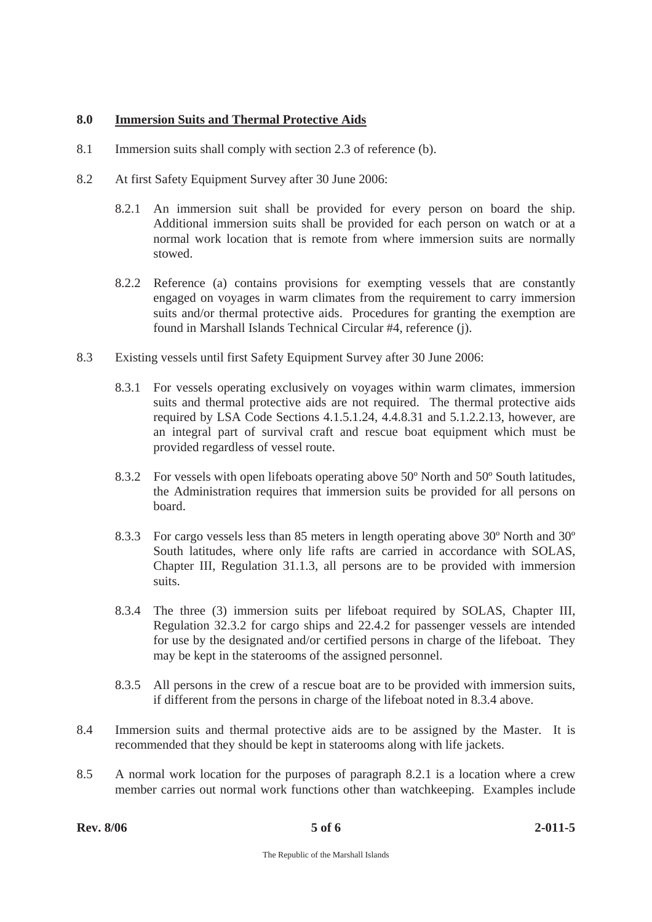#### **8.0 Immersion Suits and Thermal Protective Aids**

- 8.1 Immersion suits shall comply with section 2.3 of reference (b).
- 8.2 At first Safety Equipment Survey after 30 June 2006:
	- 8.2.1 An immersion suit shall be provided for every person on board the ship. Additional immersion suits shall be provided for each person on watch or at a normal work location that is remote from where immersion suits are normally stowed.
	- 8.2.2 Reference (a) contains provisions for exempting vessels that are constantly engaged on voyages in warm climates from the requirement to carry immersion suits and/or thermal protective aids. Procedures for granting the exemption are found in Marshall Islands Technical Circular #4, reference (j).
- 8.3 Existing vessels until first Safety Equipment Survey after 30 June 2006:
	- 8.3.1 For vessels operating exclusively on voyages within warm climates, immersion suits and thermal protective aids are not required. The thermal protective aids required by LSA Code Sections 4.1.5.1.24, 4.4.8.31 and 5.1.2.2.13, however, are an integral part of survival craft and rescue boat equipment which must be provided regardless of vessel route.
	- 8.3.2 For vessels with open lifeboats operating above 50º North and 50º South latitudes, the Administration requires that immersion suits be provided for all persons on board.
	- 8.3.3 For cargo vessels less than 85 meters in length operating above 30º North and 30º South latitudes, where only life rafts are carried in accordance with SOLAS, Chapter III, Regulation 31.1.3, all persons are to be provided with immersion suits.
	- 8.3.4 The three (3) immersion suits per lifeboat required by SOLAS, Chapter III, Regulation 32.3.2 for cargo ships and 22.4.2 for passenger vessels are intended for use by the designated and/or certified persons in charge of the lifeboat. They may be kept in the staterooms of the assigned personnel.
	- 8.3.5 All persons in the crew of a rescue boat are to be provided with immersion suits, if different from the persons in charge of the lifeboat noted in 8.3.4 above.
- 8.4 Immersion suits and thermal protective aids are to be assigned by the Master. It is recommended that they should be kept in staterooms along with life jackets.
- 8.5 A normal work location for the purposes of paragraph 8.2.1 is a location where a crew member carries out normal work functions other than watchkeeping. Examples include